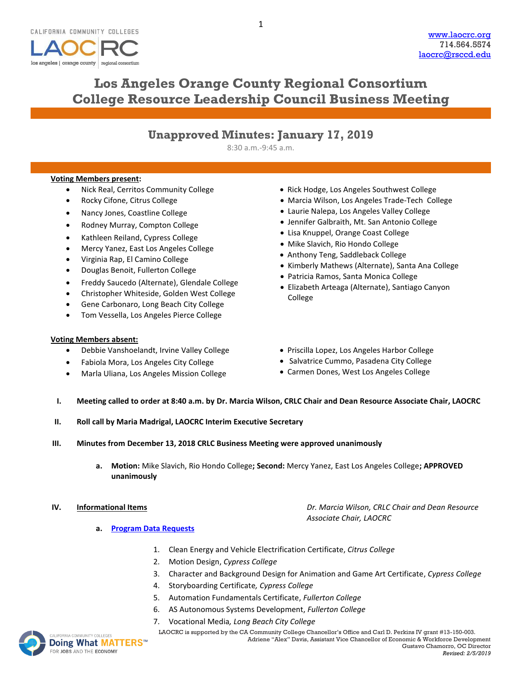

# **Los Angeles Orange County Regional Consortium College Resource Leadership Council Business Meeting**

1

## **Unapproved Minutes: January 17, 2019**

8:30 a.m.-9:45 a.m.

### **Voting Members present:**

- Nick Real, Cerritos Community College
- Rocky Cifone, Citrus College
- Nancy Jones, Coastline College
- Rodney Murray, Compton College
- Kathleen Reiland, Cypress College
- Mercy Yanez, East Los Angeles College
- Virginia Rap, El Camino College
- Douglas Benoit, Fullerton College
- Freddy Saucedo (Alternate), Glendale College
- Christopher Whiteside, Golden West College
- Gene Carbonaro, Long Beach City College
- Tom Vessella, Los Angeles Pierce College

#### **Voting Members absent:**

- Debbie Vanshoelandt, Irvine Valley College
- Fabiola Mora, Los Angeles City College
- Marla Uliana, Los Angeles Mission College
- Rick Hodge, Los Angeles Southwest College
- Marcia Wilson, Los Angeles Trade-Tech College
- Laurie Nalepa, Los Angeles Valley College
- Jennifer Galbraith, Mt. San Antonio College
- Lisa Knuppel, Orange Coast College
- Mike Slavich, Rio Hondo College
- Anthony Teng, Saddleback College
- Kimberly Mathews (Alternate), Santa Ana College
- Patricia Ramos, Santa Monica College
- Elizabeth Arteaga (Alternate), Santiago Canyon College
- Priscilla Lopez, Los Angeles Harbor College
- Salvatrice Cummo, Pasadena City College
- Carmen Dones, West Los Angeles College

*Associate Chair, LAOCRC*

#### **I. Meeting called to order at 8:40 a.m. by Dr. Marcia Wilson, CRLC Chair and Dean Resource Associate Chair, LAOCRC**

- **II. Roll call by Maria Madrigal, LAOCRC Interim Executive Secretary**
- **III. Minutes from December 13, 2018 CRLC Business Meeting were approved unanimously**
	- **a. Motion:** Mike Slavich, Rio Hondo College**; Second:** Mercy Yanez, East Los Angeles College**; APPROVED unanimously**

- **a. [Program Data Requests](http://www.laocrc.org/educators/program-approval/program-intents)**
	-
	- 1. Clean Energy and Vehicle Electrification Certificate, *Citrus College*
	- 2. Motion Design, *Cypress College*
	- 3. Character and Background Design for Animation and Game Art Certificate, *Cypress College*
	- 4. Storyboarding Certificate*, Cypress College*
	- 5. Automation Fundamentals Certificate, *Fullerton College*
	- 6. AS Autonomous Systems Development, *Fullerton College*
	- 7. Vocational Media*, Long Beach City College*



MACOMMUNITY COLLEGES **LAOCRC** is supported by the CA Community College Chancellor's Office and Carl D. Perkins IV grant #13-150-003. Adriene "Alex" Davis, Assistant Vice Chancellor of Economic & Workforce Development Gustavo Chamorro, OC Director

**IV. Informational Items** *Dr. Marcia Wilson, CRLC Chair and Dean Resource*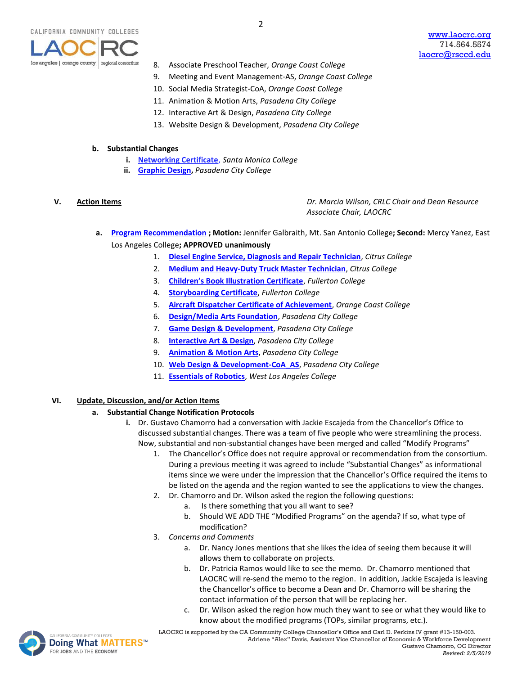

- 8. Associate Preschool Teacher, *Orange Coast College*
- 9. Meeting and Event Management-AS, *Orange Coast College*
- 10. Social Media Strategist-CoA, *Orange Coast College*
- 11. Animation & Motion Arts, *Pasadena City College*
- 12. Interactive Art & Design, *Pasadena City College*
- 13. Website Design & Development, *Pasadena City College*

#### **b. Substantial Changes**

- **i. [Networking Certificate](https://www.regionalcte.org/browse/Z2MQK)**, *Santa Monica College*
- **ii. [Graphic Design,](https://www.regionalcte.org/browse/4xGwZ)** *Pasadena City College*

**V. Action Items** *Dr. Marcia Wilson, CRLC Chair and Dean Resource Associate Chair, LAOCRC*

- **a. [Program Recommendation](https://www.regionalcte.org/browse?region=4&status=4&search=&submit=) ; Motion:** Jennifer Galbraith, Mt. San Antonio College**; Second:** Mercy Yanez, East Los Angeles College**; APPROVED unanimously**
	- 1. **[Diesel Engine Service, Diagnosis and Repair Technician](https://www.regionalcte.org/browse/3Lpe3)**, *Citrus College*
	- 2. **[Medium and Heavy-Duty Truck Master Technician](https://www.regionalcte.org/browse/Zy2o4)**, *Citrus College*
	- 3. **[Children's Book Illustration Certificate](https://www.regionalcte.org/browse/Ko2m3)**, *Fullerton College*
	- 4. **[Storyboarding Certificate](https://www.regionalcte.org/browse/4P6NK)**, *Fullerton College*
	- 5. **[Aircraft Dispatcher Certificate of Achievement](https://www.regionalcte.org/browse/4Ee14)**, *Orange Coast College*
	- 6. **[Design/Media Arts Foundation](https://www.regionalcte.org/browse/Zrxp3)**, *Pasadena City College*
	- 7. **[Game Design & Development](https://www.regionalcte.org/browse/KlWE3)**, *Pasadena City College*
	- 8. **[Interactive Art & Design](https://www.regionalcte.org/browse/Zdz03)**, *Pasadena City College*
	- 9. **[Animation &](https://www.regionalcte.org/browse/KV7rZ) Motion Arts**, *Pasadena City College*
	- 10. **[Web Design & Development-CoA\\_AS](https://www.regionalcte.org/browse/Z6VMZ)**, *Pasadena City College*
	- 11. **[Essentials of Robotics](https://www.regionalcte.org/browse/3LNPZ)**, *West Los Angeles College*

#### **VI. Update, Discussion, and/or Action Items**

#### **a. Substantial Change Notification Protocols**

- **i.** Dr. Gustavo Chamorro had a conversation with Jackie Escajeda from the Chancellor's Office to discussed substantial changes. There was a team of five people who were streamlining the process. Now, substantial and non-substantial changes have been merged and called "Modify Programs"
	- 1. The Chancellor's Office does not require approval or recommendation from the consortium. During a previous meeting it was agreed to include "Substantial Changes" as informational items since we were under the impression that the Chancellor's Office required the items to be listed on the agenda and the region wanted to see the applications to view the changes.
	- 2. Dr. Chamorro and Dr. Wilson asked the region the following questions:
		- a. Is there something that you all want to see?
		- b. Should WE ADD THE "Modified Programs" on the agenda? If so, what type of modification?
	- 3. *Concerns and Comments*
		- a. Dr. Nancy Jones mentions that she likes the idea of seeing them because it will allows them to collaborate on projects.
		- b. Dr. Patricia Ramos would like to see the memo. Dr. Chamorro mentioned that LAOCRC will re-send the memo to the region. In addition, Jackie Escajeda is leaving the Chancellor's office to become a Dean and Dr. Chamorro will be sharing the contact information of the person that will be replacing her.
		- c. Dr. Wilson asked the region how much they want to see or what they would like to know about the modified programs (TOPs, similar programs, etc.).



MACOMMUNITY COLLEGES **LAOCRC** is supported by the CA Community College Chancellor's Office and Carl D. Perkins IV grant #13-150-003. Adriene "Alex" Davis, Assistant Vice Chancellor of Economic & Workforce Development Gustavo Chamorro, OC Director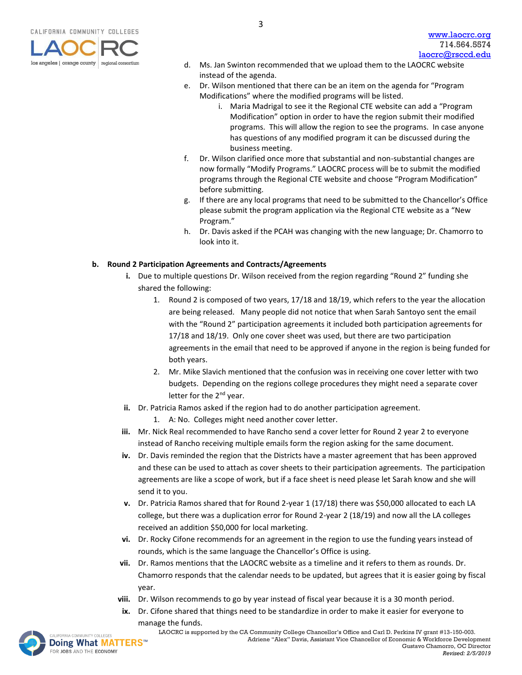

- d. Ms. Jan Swinton recommended that we upload them to the LAOCRC website instead of the agenda.
- e. Dr. Wilson mentioned that there can be an item on the agenda for "Program Modifications" where the modified programs will be listed.
	- i. Maria Madrigal to see it the Regional CTE website can add a "Program Modification" option in order to have the region submit their modified programs. This will allow the region to see the programs. In case anyone has questions of any modified program it can be discussed during the business meeting.
- f. Dr. Wilson clarified once more that substantial and non-substantial changes are now formally "Modify Programs." LAOCRC process will be to submit the modified programs through the Regional CTE website and choose "Program Modification" before submitting.
- g. If there are any local programs that need to be submitted to the Chancellor's Office please submit the program application via the Regional CTE website as a "New Program."
- h. Dr. Davis asked if the PCAH was changing with the new language; Dr. Chamorro to look into it.

### **b. Round 2 Participation Agreements and Contracts/Agreements**

- **i.** Due to multiple questions Dr. Wilson received from the region regarding "Round 2" funding she shared the following:
	- 1. Round 2 is composed of two years, 17/18 and 18/19, which refers to the year the allocation are being released. Many people did not notice that when Sarah Santoyo sent the email with the "Round 2" participation agreements it included both participation agreements for 17/18 and 18/19. Only one cover sheet was used, but there are two participation agreements in the email that need to be approved if anyone in the region is being funded for both years.
	- 2. Mr. Mike Slavich mentioned that the confusion was in receiving one cover letter with two budgets. Depending on the regions college procedures they might need a separate cover letter for the 2<sup>nd</sup> year.
- **ii.** Dr. Patricia Ramos asked if the region had to do another participation agreement.
	- 1. A: No. Colleges might need another cover letter.
- **iii.** Mr. Nick Real recommended to have Rancho send a cover letter for Round 2 year 2 to everyone instead of Rancho receiving multiple emails form the region asking for the same document.
- **iv.** Dr. Davis reminded the region that the Districts have a master agreement that has been approved and these can be used to attach as cover sheets to their participation agreements. The participation agreements are like a scope of work, but if a face sheet is need please let Sarah know and she will send it to you.
- **v.** Dr. Patricia Ramos shared that for Round 2-year 1 (17/18) there was \$50,000 allocated to each LA college, but there was a duplication error for Round 2-year 2 (18/19) and now all the LA colleges received an addition \$50,000 for local marketing.
- **vi.** Dr. Rocky Cifone recommends for an agreement in the region to use the funding years instead of rounds, which is the same language the Chancellor's Office is using.
- **vii.** Dr. Ramos mentions that the LAOCRC website as a timeline and it refers to them as rounds. Dr. Chamorro responds that the calendar needs to be updated, but agrees that it is easier going by fiscal year.
- **viii.** Dr. Wilson recommends to go by year instead of fiscal year because it is a 30 month period.
- **ix.** Dr. Cifone shared that things need to be standardize in order to make it easier for everyone to [manag](http://www.doingwhatmatters.cccco.edu/)e the funds.

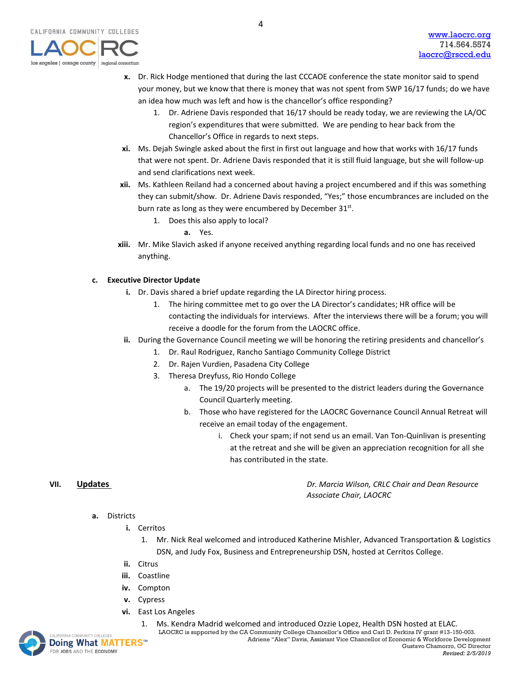- **x.** Dr. Rick Hodge mentioned that during the last CCCAOE conference the state monitor said to spend your money, but we know that there is money that was not spent from SWP 16/17 funds; do we have an idea how much was left and how is the chancellor's office responding?
	- 1. Dr. Adriene Davis responded that 16/17 should be ready today, we are reviewing the LA/OC region's expenditures that were submitted. We are pending to hear back from the Chancellor's Office in regards to next steps.
- **xi.** Ms. Dejah Swingle asked about the first in first out language and how that works with 16/17 funds that were not spent. Dr. Adriene Davis responded that it is still fluid language, but she will follow-up and send clarifications next week.
- **xii.** Ms. Kathleen Reiland had a concerned about having a project encumbered and if this was something they can submit/show. Dr. Adriene Davis responded, "Yes;" those encumbrances are included on the burn rate as long as they were encumbered by December 31st.
	- 1. Does this also apply to local?
		- **a.** Yes.
- **xiii.** Mr. Mike Slavich asked if anyone received anything regarding local funds and no one has received anything.

### **c. Executive Director Update**

- **i.** Dr. Davis shared a brief update regarding the LA Director hiring process.
	- 1. The hiring committee met to go over the LA Director's candidates; HR office will be contacting the individuals for interviews. After the interviews there will be a forum; you will receive a doodle for the forum from the LAOCRC office.
- **ii.** During the Governance Council meeting we will be honoring the retiring presidents and chancellor's
	- 1. Dr. Raul Rodriguez, Rancho Santiago Community College District
	- 2. Dr. Rajen Vurdien, Pasadena City College
	- 3. Theresa Dreyfuss, Rio Hondo College
		- a. The 19/20 projects will be presented to the district leaders during the Governance Council Quarterly meeting.
		- b. Those who have registered for the LAOCRC Governance Council Annual Retreat will receive an email today of the engagement.
			- i. Check your spam; if not send us an email. Van Ton-Quinlivan is presenting at the retreat and she will be given an appreciation recognition for all she has contributed in the state.

**VII. Updates** *Dr. Marcia Wilson, CRLC Chair and Dean Resource Associate Chair, LAOCRC*

- **a.** Districts
	- **i.** Cerritos
		- 1. Mr. Nick Real welcomed and introduced Katherine Mishler, Advanced Transportation & Logistics DSN, and Judy Fox, Business and Entrepreneurship DSN, hosted at Cerritos College.
	- **ii.** Citrus
	- **iii.** Coastline
	- **iv.** Compton
	- **v.** Cypress
	- **vi.** East Los Angeles
- MACOMMUNITY COLLEGES **LAOCRC** is supported by the CA Community College Chancellor's Office and Carl D. Perkins IV grant #13-150-003. 1. Ms. Kendra Madrid welcomed and introduced Ozzie Lopez, Health DSN hosted at ELAC.

**Doing What MATTERS™** FOR JOBS AND THE ECONOMY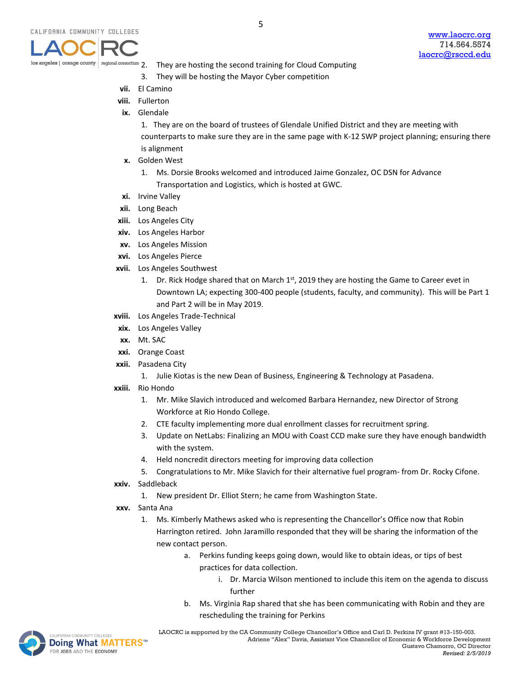- 2. They are hosting the second training for Cloud Computing
- 3. They will be hosting the Mayor Cyber competition
- **vii.** El Camino

nal consortium

- **viii.** Fullerton
- **ix.** Glendale

1. They are on the board of trustees of Glendale Unified District and they are meeting with counterparts to make sure they are in the same page with K-12 SWP project planning; ensuring there is alignment

- **x.** Golden West
	- 1. Ms. Dorsie Brooks welcomed and introduced Jaime Gonzalez, OC DSN for Advance Transportation and Logistics, which is hosted at GWC.
- **xi.** Irvine Valley
- **xii.** Long Beach
- **xiii.** Los Angeles City
- **xiv.** Los Angeles Harbor
- **xv.** Los Angeles Mission
- **xvi.** Los Angeles Pierce
- **xvii.** Los Angeles Southwest
	- 1. Dr. Rick Hodge shared that on March  $1<sup>st</sup>$ , 2019 they are hosting the Game to Career evet in Downtown LA; expecting 300-400 people (students, faculty, and community). This will be Part 1 and Part 2 will be in May 2019.
- **xviii.** Los Angeles Trade-Technical
- **xix.** Los Angeles Valley
- **xx.** Mt. SAC
- **xxi.** Orange Coast
- **xxii.** Pasadena City
	- 1. Julie Kiotas is the new Dean of Business, Engineering & Technology at Pasadena.
- **xxiii.** Rio Hondo
	- 1. Mr. Mike Slavich introduced and welcomed Barbara Hernandez, new Director of Strong Workforce at Rio Hondo College.
	- 2. CTE faculty implementing more dual enrollment classes for recruitment spring.
	- 3. Update on NetLabs: Finalizing an MOU with Coast CCD make sure they have enough bandwidth with the system.
	- 4. Held noncredit directors meeting for improving data collection
	- 5. Congratulations to Mr. Mike Slavich for their alternative fuel program- from Dr. Rocky Cifone.
- **xxiv.** Saddleback
	- 1. New president Dr. Elliot Stern; he came from Washington State.
- **xxv.** Santa Ana
	- 1. Ms. Kimberly Mathews asked who is representing the Chancellor's Office now that Robin Harrington retired. John Jaramillo responded that they will be sharing the information of the new contact person.
		- a. Perkins funding keeps going down, would like to obtain ideas, or tips of best practices for data collection.
			- i. Dr. Marcia Wilson mentioned to include this item on the agenda to discuss further
		- b. Ms. Virginia Rap shared that she has been communicating with Robin and they are rescheduling the training for Perkins



LAOCRCis supported by the CA Community College Chancellor's Office and Carl D. Perkins IV grant #13-150-003. Adriene "Alex" Davis, Assistant Vice Chancellor of Economic & Workforce Development Gustavo Chamorro, OC Director